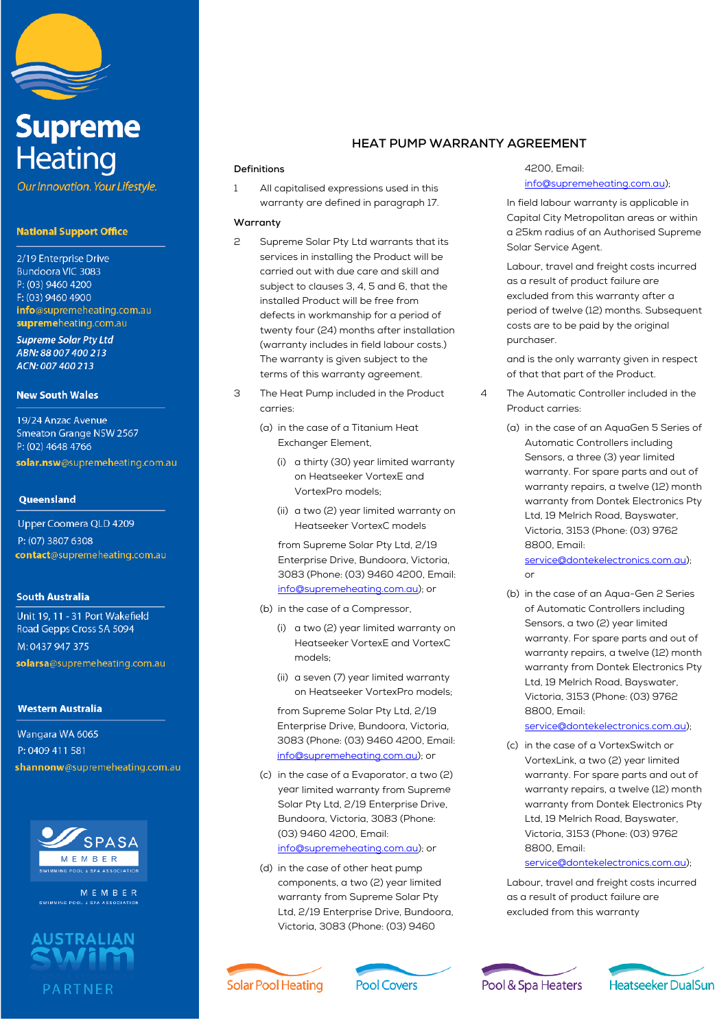

# **Supreme Heating**

Our Innovation. Your Lifestyle.

## **National Support Office**

2/19 Enterprise Drive Bundoora VIC 3083 P: (03) 9460 4200 F: (03) 9460 4900 info@supremeheating.com.au supremeheating.com.au

**Supreme Solar Pty Ltd** ABN: 88 007 400 213 ACN: 007 400 213

### **New South Wales**

19/24 Anzac Avenue **Smeaton Grange NSW 2567** P: (02) 4648 4766 solar.nsw@supremeheating.com.au

## Queensland

Upper Coomera QLD 4209 P: (07) 3807 6308 contact@supremeheating.com.au

# **South Australia**

Unit 19, 11 - 31 Port Wakefield Road Gepps Cross SA 5094

M: 0437 947 375 solarsa@supremeheating.com.au

#### **Western Australia**

Wangara WA 6065 P: 0409 411 581 shannonw@supremeheating.com.au



MEMBER



# **HEAT PUMP WARRANTY AGREEMENT**

#### **Definitions**

1 All capitalised expressions used in this warranty are defined in paragraph 17.

### **Warranty**

- 2 Supreme Solar Pty Ltd warrants that its services in installing the Product will be carried out with due care and skill and subject to clauses 3, 4, 5 and 6, that the installed Product will be free from defects in workmanship for a period of twenty four (24) months after installation (warranty includes in field labour costs.) The warranty is given subject to the terms of this warranty agreement.
- 3 The Heat Pump included in the Product carries:
	- (a) in the case of a Titanium Heat Exchanger Element,
		- (i) a thirty (30) year limited warranty on Heatseeker VortexE and VortexPro models;
		- (ii) a two (2) year limited warranty on Heatseeker VortexC models

from Supreme Solar Pty Ltd, 2/19 Enterprise Drive, Bundoora, Victoria, 3083 (Phone: (03) 9460 4200, Email: info@supremeheating.com.au); or

- (b) in the case of a Compressor,
	- (i) a two (2) year limited warranty on Heatseeker VortexE and VortexC models;
	- (ii) a seven (7) year limited warranty on Heatseeker VortexPro models;

from Supreme Solar Pty Ltd, 2/19 Enterprise Drive, Bundoora, Victoria, 3083 (Phone: (03) 9460 4200, Email: info@supremeheating.com.au); or

- (c) in the case of a Evaporator, a two (2) year limited warranty from Supreme Solar Pty Ltd, 2/19 Enterprise Drive, Bundoora, Victoria, 3083 (Phone: (03) 9460 4200, Email: info@supremeheating.com.au); or
- (d) in the case of other heat pump components, a two (2) year limited warranty from Supreme Solar Pty Ltd, 2/19 Enterprise Drive, Bundoora, Victoria, 3083 (Phone: (03) 9460

4200, Email: info@supremeheating.com.au);

In field labour warranty is applicable in Capital City Metropolitan areas or within a 25km radius of an Authorised Supreme Solar Service Agent.

Labour, travel and freight costs incurred as a result of product failure are excluded from this warranty after a period of twelve (12) months. Subsequent costs are to be paid by the original purchaser.

and is the only warranty given in respect of that that part of the Product.

- 4 The Automatic Controller included in the Product carries:
	- (a) in the case of an AquaGen 5 Series of Automatic Controllers including Sensors, a three (3) year limited warranty. For spare parts and out of warranty repairs, a twelve (12) month warranty from Dontek Electronics Pty Ltd, 19 Melrich Road, Bayswater, Victoria, 3153 (Phone: (03) 9762 8800, Email:

service@dontekelectronics.com.au); or

(b) in the case of an Aqua-Gen 2 Series of Automatic Controllers including Sensors, a two (2) year limited warranty. For spare parts and out of warranty repairs, a twelve (12) month warranty from Dontek Electronics Pty Ltd, 19 Melrich Road, Bayswater, Victoria, 3153 (Phone: (03) 9762 8800, Email:

#### service@dontekelectronics.com.au);

(c) in the case of a VortexSwitch or VortexLink, a two (2) year limited warranty. For spare parts and out of warranty repairs, a twelve (12) month warranty from Dontek Electronics Pty Ltd, 19 Melrich Road, Bayswater, Victoria, 3153 (Phone: (03) 9762 8800, Email:

# service@dontekelectronics.com.au);

Labour, travel and freight costs incurred as a result of product failure are excluded from this warranty





Pool & Spa Heaters

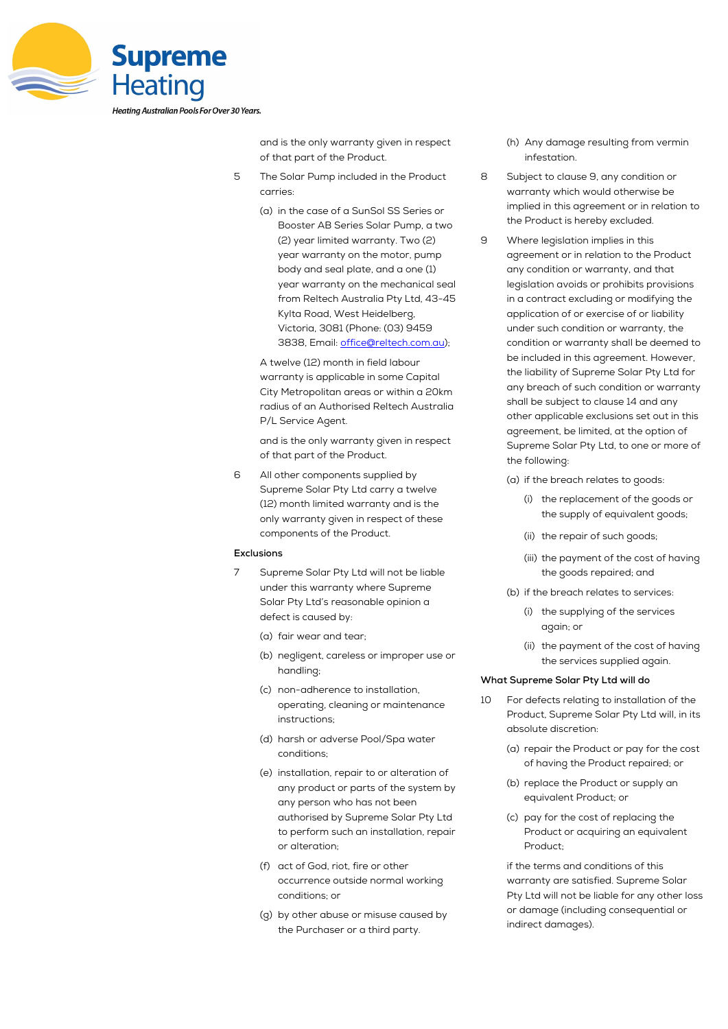

and is the only warranty given in respect of that part of the Product.

- 5 The Solar Pump included in the Product carries:
	- (a) in the case of a SunSol SS Series or Booster AB Series Solar Pump, a two (2) year limited warranty. Two (2) year warranty on the motor, pump body and seal plate, and a one (1) year warranty on the mechanical seal from Reltech Australia Pty Ltd, 43-45 Kylta Road, West Heidelberg, Victoria, 3081 (Phone: (03) 9459 3838, Email: office@reltech.com.au);

A twelve (12) month in field labour warranty is applicable in some Capital City Metropolitan areas or within a 20km radius of an Authorised Reltech Australia P/L Service Agent.

and is the only warranty given in respect of that part of the Product.

6 All other components supplied by Supreme Solar Pty Ltd carry a twelve (12) month limited warranty and is the only warranty given in respect of these components of the Product.

### **Exclusions**

- 7 Supreme Solar Pty Ltd will not be liable under this warranty where Supreme Solar Pty Ltd's reasonable opinion a defect is caused by:
	- (a) fair wear and tear;
	- (b) negligent, careless or improper use or handling;
	- (c) non-adherence to installation, operating, cleaning or maintenance instructions;
	- (d) harsh or adverse Pool/Spa water conditions;
	- (e) installation, repair to or alteration of any product or parts of the system by any person who has not been authorised by Supreme Solar Pty Ltd to perform such an installation, repair or alteration;
	- (f) act of God, riot, fire or other occurrence outside normal working conditions; or
	- (g) by other abuse or misuse caused by the Purchaser or a third party.
- (h) Any damage resulting from vermin infestation.
- 8 Subject to clause 9, any condition or warranty which would otherwise be implied in this agreement or in relation to the Product is hereby excluded.
- 9 Where legislation implies in this agreement or in relation to the Product any condition or warranty, and that legislation avoids or prohibits provisions in a contract excluding or modifying the application of or exercise of or liability under such condition or warranty, the condition or warranty shall be deemed to be included in this agreement. However, the liability of Supreme Solar Pty Ltd for any breach of such condition or warranty shall be subject to clause 14 and any other applicable exclusions set out in this agreement, be limited, at the option of Supreme Solar Pty Ltd, to one or more of the following:
	- (a) if the breach relates to goods:
		- (i) the replacement of the goods or the supply of equivalent goods;
		- (ii) the repair of such goods;
		- (iii) the payment of the cost of having the goods repaired; and
	- (b) if the breach relates to services:
		- (i) the supplying of the services again; or
		- (ii) the payment of the cost of having the services supplied again.

#### **What Supreme Solar Pty Ltd will do**

- 10 For defects relating to installation of the Product, Supreme Solar Pty Ltd will, in its absolute discretion:
	- (a) repair the Product or pay for the cost of having the Product repaired; or
	- (b) replace the Product or supply an equivalent Product; or
	- (c) pay for the cost of replacing the Product or acquiring an equivalent Product;

if the terms and conditions of this warranty are satisfied. Supreme Solar Pty Ltd will not be liable for any other loss or damage (including consequential or indirect damages).